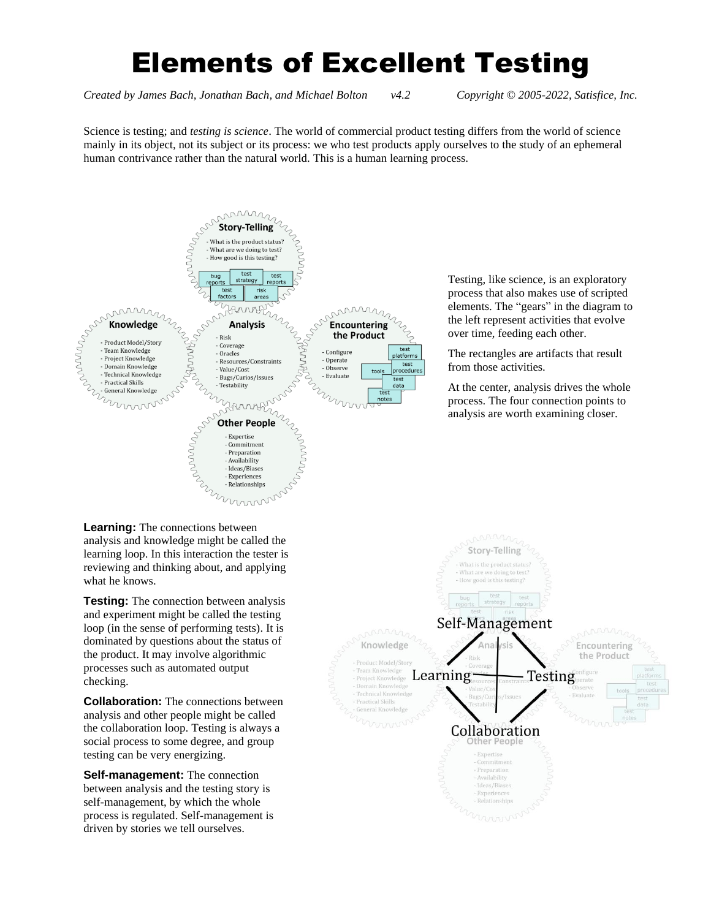# Elements of Excellent Testing

*Created by James Bach, Jonathan Bach, and Michael Bolton v4.2 Copyright © 2005-2022, Satisfice, Inc.*

Science is testing; and *testing is science*. The world of commercial product testing differs from the world of science mainly in its object, not its subject or its process: we who test products apply ourselves to the study of an ephemeral human contrivance rather than the natural world. This is a human learning process.



Testing, like science, is an exploratory process that also makes use of scripted elements. The "gears" in the diagram to the left represent activities that evolve over time, feeding each other.

The rectangles are artifacts that result from those activities.

At the center, analysis drives the whole process. The four connection points to analysis are worth examining closer.

analysis and knowledge might be called the learning loop. In this interaction the tester is reviewing and thinking about, and applying what he knows.

**Testing:** The connection between analysis and experiment might be called the testing loop (in the sense of performing tests). It is dominated by questions about the status of the product. It may involve algorithmic processes such as automated output checking.

**Collaboration:** The connections between analysis and other people might be called the collaboration loop. Testing is always a social process to some degree, and group testing can be very energizing.

**Self-management:** The connection between analysis and the testing story is self-management, by which the whole process is regulated. Self-management is driven by stories we tell ourselves.

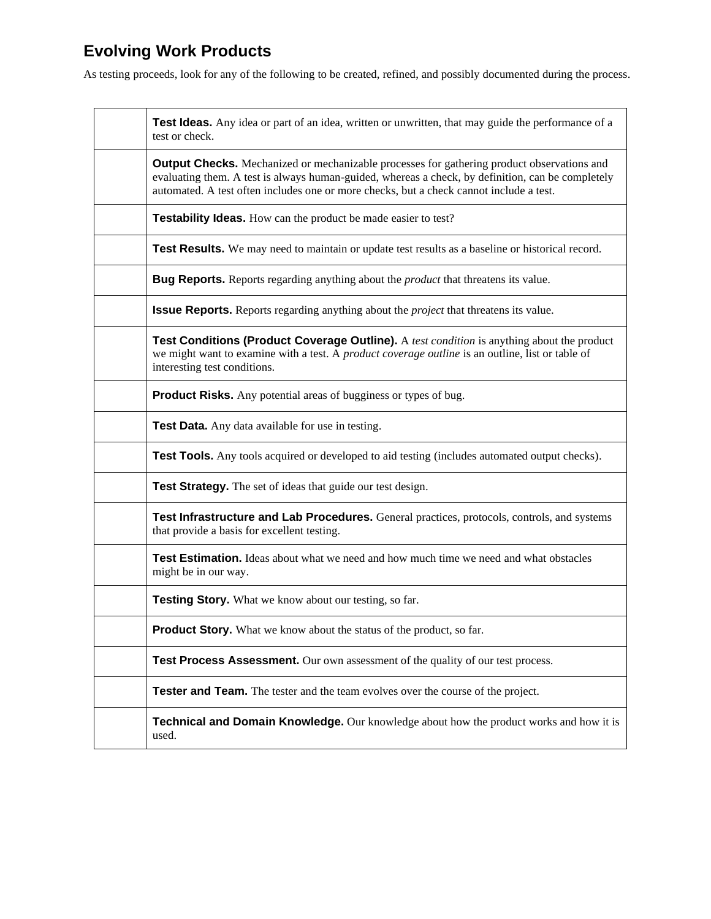# **Evolving Work Products**

As testing proceeds, look for any of the following to be created, refined, and possibly documented during the process.

| Test Ideas. Any idea or part of an idea, written or unwritten, that may guide the performance of a<br>test or check.                                                                                                                                                                              |
|---------------------------------------------------------------------------------------------------------------------------------------------------------------------------------------------------------------------------------------------------------------------------------------------------|
| <b>Output Checks.</b> Mechanized or mechanizable processes for gathering product observations and<br>evaluating them. A test is always human-guided, whereas a check, by definition, can be completely<br>automated. A test often includes one or more checks, but a check cannot include a test. |
| <b>Testability Ideas.</b> How can the product be made easier to test?                                                                                                                                                                                                                             |
| Test Results. We may need to maintain or update test results as a baseline or historical record.                                                                                                                                                                                                  |
| <b>Bug Reports.</b> Reports regarding anything about the <i>product</i> that threatens its value.                                                                                                                                                                                                 |
| <b>Issue Reports.</b> Reports regarding anything about the <i>project</i> that threatens its value.                                                                                                                                                                                               |
| Test Conditions (Product Coverage Outline). A test condition is anything about the product<br>we might want to examine with a test. A <i>product coverage outline</i> is an outline, list or table of<br>interesting test conditions.                                                             |
| <b>Product Risks.</b> Any potential areas of bugginess or types of bug.                                                                                                                                                                                                                           |
| Test Data. Any data available for use in testing.                                                                                                                                                                                                                                                 |
| <b>Test Tools.</b> Any tools acquired or developed to aid testing (includes automated output checks).                                                                                                                                                                                             |
| Test Strategy. The set of ideas that guide our test design.                                                                                                                                                                                                                                       |
| Test Infrastructure and Lab Procedures. General practices, protocols, controls, and systems<br>that provide a basis for excellent testing.                                                                                                                                                        |
| Test Estimation. Ideas about what we need and how much time we need and what obstacles<br>might be in our way.                                                                                                                                                                                    |
| <b>Testing Story.</b> What we know about our testing, so far.                                                                                                                                                                                                                                     |
| Product Story. What we know about the status of the product, so far.                                                                                                                                                                                                                              |
| Test Process Assessment. Our own assessment of the quality of our test process.                                                                                                                                                                                                                   |
| Tester and Team. The tester and the team evolves over the course of the project.                                                                                                                                                                                                                  |
| <b>Technical and Domain Knowledge.</b> Our knowledge about how the product works and how it is<br>used.                                                                                                                                                                                           |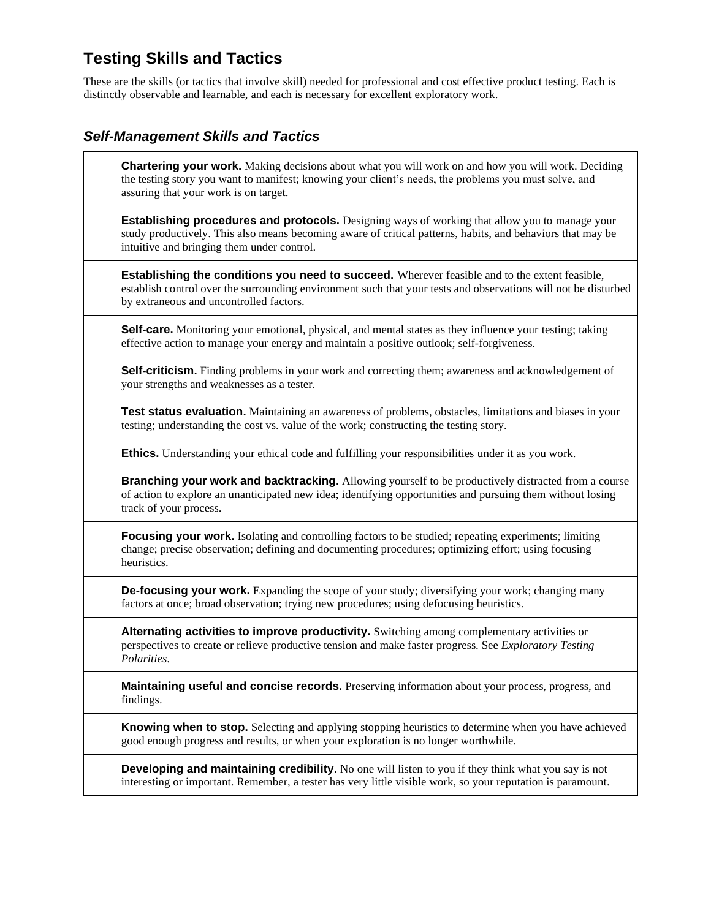# **Testing Skills and Tactics**

These are the skills (or tactics that involve skill) needed for professional and cost effective product testing. Each is distinctly observable and learnable, and each is necessary for excellent exploratory work.

#### *Self-Management Skills and Tactics*

| <b>Chartering your work.</b> Making decisions about what you will work on and how you will work. Deciding<br>the testing story you want to manifest; knowing your client's needs, the problems you must solve, and<br>assuring that your work is on target.        |
|--------------------------------------------------------------------------------------------------------------------------------------------------------------------------------------------------------------------------------------------------------------------|
| <b>Establishing procedures and protocols.</b> Designing ways of working that allow you to manage your<br>study productively. This also means becoming aware of critical patterns, habits, and behaviors that may be<br>intuitive and bringing them under control.  |
| <b>Establishing the conditions you need to succeed.</b> Wherever feasible and to the extent feasible,<br>establish control over the surrounding environment such that your tests and observations will not be disturbed<br>by extraneous and uncontrolled factors. |
| <b>Self-care.</b> Monitoring your emotional, physical, and mental states as they influence your testing; taking<br>effective action to manage your energy and maintain a positive outlook; self-forgiveness.                                                       |
| Self-criticism. Finding problems in your work and correcting them; awareness and acknowledgement of<br>your strengths and weaknesses as a tester.                                                                                                                  |
| Test status evaluation. Maintaining an awareness of problems, obstacles, limitations and biases in your<br>testing; understanding the cost vs. value of the work; constructing the testing story.                                                                  |
| Ethics. Understanding your ethical code and fulfilling your responsibilities under it as you work.                                                                                                                                                                 |
| Branching your work and backtracking. Allowing yourself to be productively distracted from a course<br>of action to explore an unanticipated new idea; identifying opportunities and pursuing them without losing<br>track of your process.                        |
| <b>Focusing your work.</b> Isolating and controlling factors to be studied; repeating experiments; limiting<br>change; precise observation; defining and documenting procedures; optimizing effort; using focusing<br>heuristics.                                  |
| <b>De-focusing your work.</b> Expanding the scope of your study; diversifying your work; changing many<br>factors at once; broad observation; trying new procedures; using defocusing heuristics.                                                                  |
| Alternating activities to improve productivity. Switching among complementary activities or<br>perspectives to create or relieve productive tension and make faster progress. See Exploratory Testing<br>Polarities.                                               |
| Maintaining useful and concise records. Preserving information about your process, progress, and<br>findings.                                                                                                                                                      |
| <b>Knowing when to stop.</b> Selecting and applying stopping heuristics to determine when you have achieved<br>good enough progress and results, or when your exploration is no longer worthwhile.                                                                 |
| <b>Developing and maintaining credibility.</b> No one will listen to you if they think what you say is not<br>interesting or important. Remember, a tester has very little visible work, so your reputation is paramount.                                          |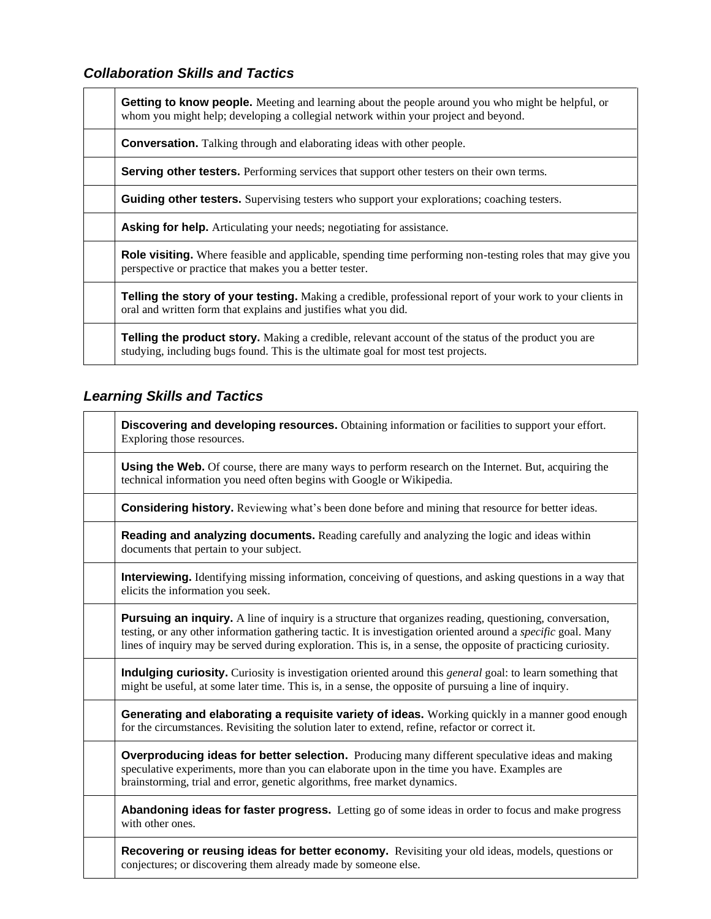### *Collaboration Skills and Tactics*

| Getting to know people. Meeting and learning about the people around you who might be helpful, or<br>whom you might help; developing a collegial network within your project and beyond.        |
|-------------------------------------------------------------------------------------------------------------------------------------------------------------------------------------------------|
| <b>Conversation.</b> Talking through and elaborating ideas with other people.                                                                                                                   |
| <b>Serving other testers.</b> Performing services that support other testers on their own terms.                                                                                                |
| <b>Guiding other testers.</b> Supervising testers who support your explorations; coaching testers.                                                                                              |
| <b>Asking for help.</b> Articulating your needs; negotiating for assistance.                                                                                                                    |
| <b>Role visiting.</b> Where feasible and applicable, spending time performing non-testing roles that may give you<br>perspective or practice that makes you a better tester.                    |
| Telling the story of your testing. Making a credible, professional report of your work to your clients in<br>oral and written form that explains and justifies what you did.                    |
| <b>Telling the product story.</b> Making a credible, relevant account of the status of the product you are<br>studying, including bugs found. This is the ultimate goal for most test projects. |

### *Learning Skills and Tactics*

| Discovering and developing resources. Obtaining information or facilities to support your effort.<br>Exploring those resources.                                                                                                                                                                                                                          |
|----------------------------------------------------------------------------------------------------------------------------------------------------------------------------------------------------------------------------------------------------------------------------------------------------------------------------------------------------------|
| <b>Using the Web.</b> Of course, there are many ways to perform research on the Internet. But, acquiring the<br>technical information you need often begins with Google or Wikipedia.                                                                                                                                                                    |
| <b>Considering history.</b> Reviewing what's been done before and mining that resource for better ideas.                                                                                                                                                                                                                                                 |
| Reading and analyzing documents. Reading carefully and analyzing the logic and ideas within<br>documents that pertain to your subject.                                                                                                                                                                                                                   |
| <b>Interviewing.</b> Identifying missing information, conceiving of questions, and asking questions in a way that<br>elicits the information you seek.                                                                                                                                                                                                   |
| <b>Pursuing an inquiry.</b> A line of inquiry is a structure that organizes reading, questioning, conversation,<br>testing, or any other information gathering tactic. It is investigation oriented around a <i>specific</i> goal. Many<br>lines of inquiry may be served during exploration. This is, in a sense, the opposite of practicing curiosity. |
| Indulging curiosity. Curiosity is investigation oriented around this <i>general</i> goal: to learn something that<br>might be useful, at some later time. This is, in a sense, the opposite of pursuing a line of inquiry.                                                                                                                               |
| Generating and elaborating a requisite variety of ideas. Working quickly in a manner good enough<br>for the circumstances. Revisiting the solution later to extend, refine, refactor or correct it.                                                                                                                                                      |
| <b>Overproducing ideas for better selection.</b> Producing many different speculative ideas and making<br>speculative experiments, more than you can elaborate upon in the time you have. Examples are<br>brainstorming, trial and error, genetic algorithms, free market dynamics.                                                                      |
| <b>Abandoning ideas for faster progress.</b> Letting go of some ideas in order to focus and make progress<br>with other ones.                                                                                                                                                                                                                            |
| Recovering or reusing ideas for better economy. Revisiting your old ideas, models, questions or<br>conjectures; or discovering them already made by someone else.                                                                                                                                                                                        |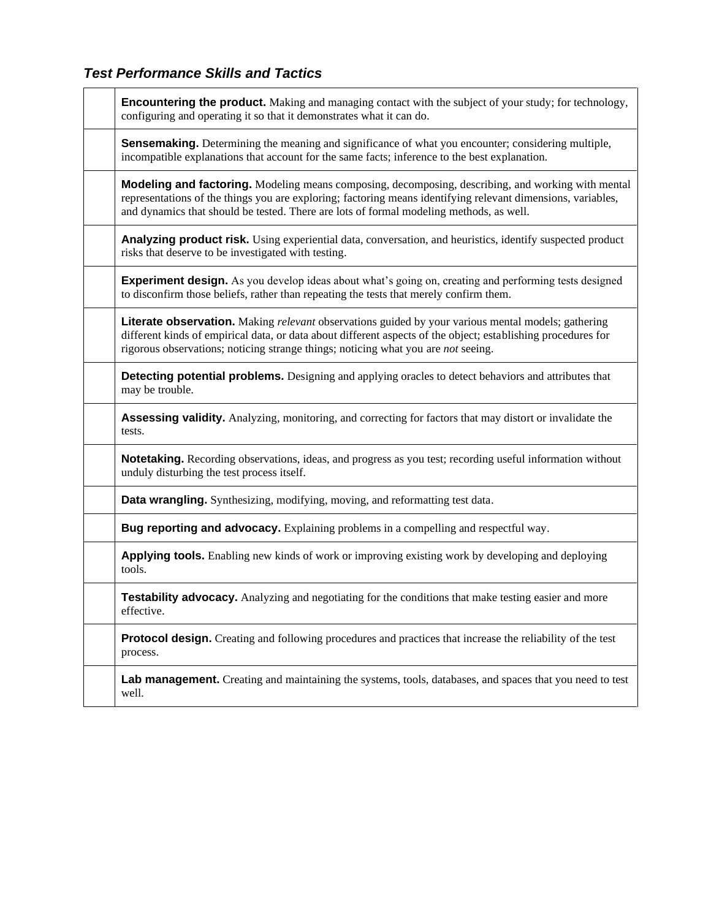### *Test Performance Skills and Tactics*

| <b>Encountering the product.</b> Making and managing contact with the subject of your study; for technology,<br>configuring and operating it so that it demonstrates what it can do.                                                                                                                                 |
|----------------------------------------------------------------------------------------------------------------------------------------------------------------------------------------------------------------------------------------------------------------------------------------------------------------------|
| <b>Sensemaking.</b> Determining the meaning and significance of what you encounter; considering multiple,<br>incompatible explanations that account for the same facts; inference to the best explanation.                                                                                                           |
| <b>Modeling and factoring.</b> Modeling means composing, decomposing, describing, and working with mental<br>representations of the things you are exploring; factoring means identifying relevant dimensions, variables,<br>and dynamics that should be tested. There are lots of formal modeling methods, as well. |
| Analyzing product risk. Using experiential data, conversation, and heuristics, identify suspected product<br>risks that deserve to be investigated with testing.                                                                                                                                                     |
| <b>Experiment design.</b> As you develop ideas about what's going on, creating and performing tests designed<br>to disconfirm those beliefs, rather than repeating the tests that merely confirm them.                                                                                                               |
| Literate observation. Making relevant observations guided by your various mental models; gathering<br>different kinds of empirical data, or data about different aspects of the object; establishing procedures for<br>rigorous observations; noticing strange things; noticing what you are not seeing.             |
| <b>Detecting potential problems.</b> Designing and applying oracles to detect behaviors and attributes that<br>may be trouble.                                                                                                                                                                                       |
| <b>Assessing validity.</b> Analyzing, monitoring, and correcting for factors that may distort or invalidate the<br>tests.                                                                                                                                                                                            |
| <b>Notetaking.</b> Recording observations, ideas, and progress as you test; recording useful information without<br>unduly disturbing the test process itself.                                                                                                                                                       |
| Data wrangling. Synthesizing, modifying, moving, and reformatting test data.                                                                                                                                                                                                                                         |
| Bug reporting and advocacy. Explaining problems in a compelling and respectful way.                                                                                                                                                                                                                                  |
| <b>Applying tools.</b> Enabling new kinds of work or improving existing work by developing and deploying<br>tools.                                                                                                                                                                                                   |
| Testability advocacy. Analyzing and negotiating for the conditions that make testing easier and more<br>effective.                                                                                                                                                                                                   |
| <b>Protocol design.</b> Creating and following procedures and practices that increase the reliability of the test<br>process.                                                                                                                                                                                        |
| Lab management. Creating and maintaining the systems, tools, databases, and spaces that you need to test<br>well.                                                                                                                                                                                                    |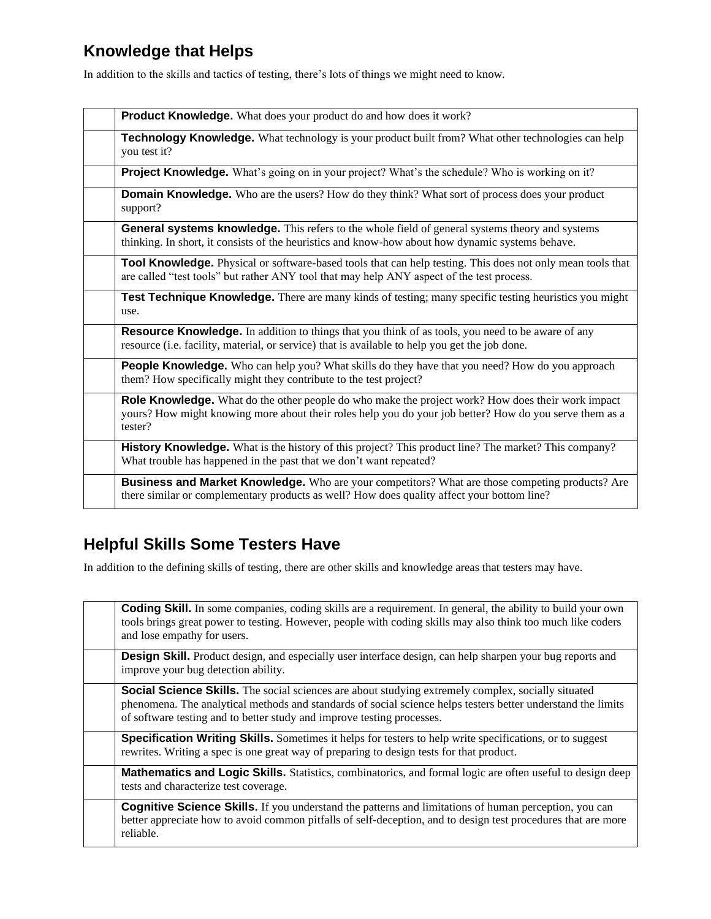# **Knowledge that Helps**

In addition to the skills and tactics of testing, there's lots of things we might need to know.

| Product Knowledge. What does your product do and how does it work?                                                                                                                                                      |
|-------------------------------------------------------------------------------------------------------------------------------------------------------------------------------------------------------------------------|
| Technology Knowledge. What technology is your product built from? What other technologies can help<br>you test it?                                                                                                      |
| Project Knowledge. What's going on in your project? What's the schedule? Who is working on it?                                                                                                                          |
| <b>Domain Knowledge.</b> Who are the users? How do they think? What sort of process does your product<br>support?                                                                                                       |
| General systems knowledge. This refers to the whole field of general systems theory and systems<br>thinking. In short, it consists of the heuristics and know-how about how dynamic systems behave.                     |
| Tool Knowledge. Physical or software-based tools that can help testing. This does not only mean tools that<br>are called "test tools" but rather ANY tool that may help ANY aspect of the test process.                 |
| Test Technique Knowledge. There are many kinds of testing; many specific testing heuristics you might<br>use.                                                                                                           |
| <b>Resource Knowledge.</b> In addition to things that you think of as tools, you need to be aware of any<br>resource (i.e. facility, material, or service) that is available to help you get the job done.              |
| <b>People Knowledge.</b> Who can help you? What skills do they have that you need? How do you approach<br>them? How specifically might they contribute to the test project?                                             |
| Role Knowledge. What do the other people do who make the project work? How does their work impact<br>yours? How might knowing more about their roles help you do your job better? How do you serve them as a<br>tester? |
| History Knowledge. What is the history of this project? This product line? The market? This company?<br>What trouble has happened in the past that we don't want repeated?                                              |
| <b>Business and Market Knowledge.</b> Who are your competitors? What are those competing products? Are<br>there similar or complementary products as well? How does quality affect your bottom line?                    |

## **Helpful Skills Some Testers Have**

In addition to the defining skills of testing, there are other skills and knowledge areas that testers may have.

| <b>Coding Skill.</b> In some companies, coding skills are a requirement. In general, the ability to build your own<br>tools brings great power to testing. However, people with coding skills may also think too much like coders<br>and lose empathy for users.                                    |
|-----------------------------------------------------------------------------------------------------------------------------------------------------------------------------------------------------------------------------------------------------------------------------------------------------|
| <b>Design Skill.</b> Product design, and especially user interface design, can help sharpen your bug reports and<br>improve your bug detection ability.                                                                                                                                             |
| <b>Social Science Skills.</b> The social sciences are about studying extremely complex, socially situated<br>phenomena. The analytical methods and standards of social science helps testers better understand the limits<br>of software testing and to better study and improve testing processes. |
| <b>Specification Writing Skills.</b> Sometimes it helps for testers to help write specifications, or to suggest<br>rewrites. Writing a spec is one great way of preparing to design tests for that product.                                                                                         |
| <b>Mathematics and Logic Skills.</b> Statistics, combinatorics, and formal logic are often useful to design deep<br>tests and characterize test coverage.                                                                                                                                           |
| <b>Cognitive Science Skills.</b> If you understand the patterns and limitations of human perception, you can<br>better appreciate how to avoid common pitfalls of self-deception, and to design test procedures that are more<br>reliable.                                                          |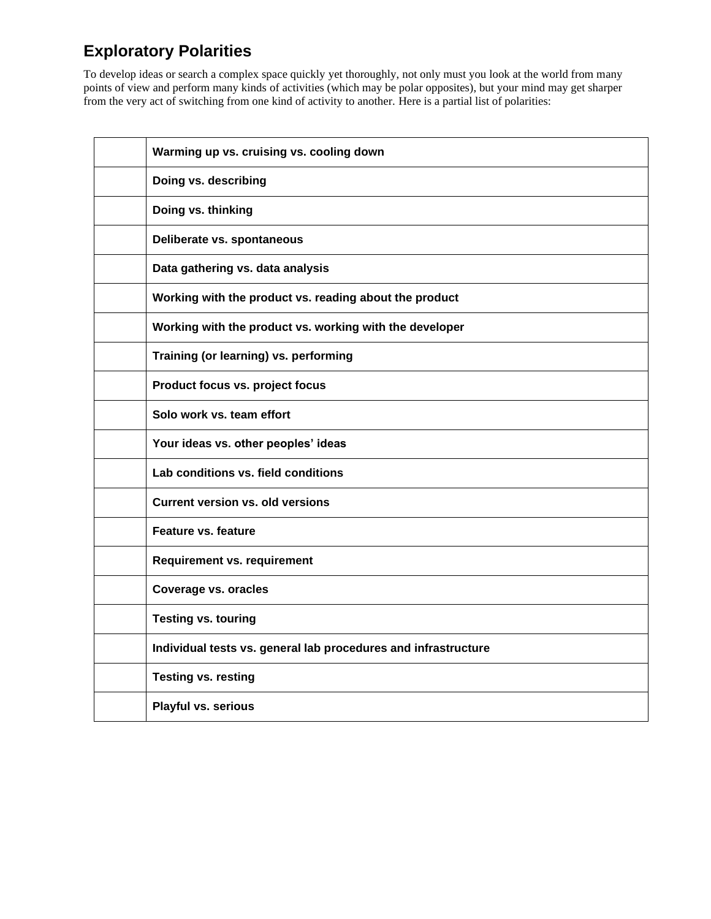# **Exploratory Polarities**

To develop ideas or search a complex space quickly yet thoroughly, not only must you look at the world from many points of view and perform many kinds of activities (which may be polar opposites), but your mind may get sharper from the very act of switching from one kind of activity to another. Here is a partial list of polarities:

| Warming up vs. cruising vs. cooling down                       |
|----------------------------------------------------------------|
| Doing vs. describing                                           |
| Doing vs. thinking                                             |
| Deliberate vs. spontaneous                                     |
| Data gathering vs. data analysis                               |
| Working with the product vs. reading about the product         |
| Working with the product vs. working with the developer        |
| Training (or learning) vs. performing                          |
| Product focus vs. project focus                                |
| Solo work vs. team effort                                      |
| Your ideas vs. other peoples' ideas                            |
| Lab conditions vs. field conditions                            |
| <b>Current version vs. old versions</b>                        |
| <b>Feature vs. feature</b>                                     |
| Requirement vs. requirement                                    |
| <b>Coverage vs. oracles</b>                                    |
| <b>Testing vs. touring</b>                                     |
| Individual tests vs. general lab procedures and infrastructure |
| <b>Testing vs. resting</b>                                     |
| Playful vs. serious                                            |